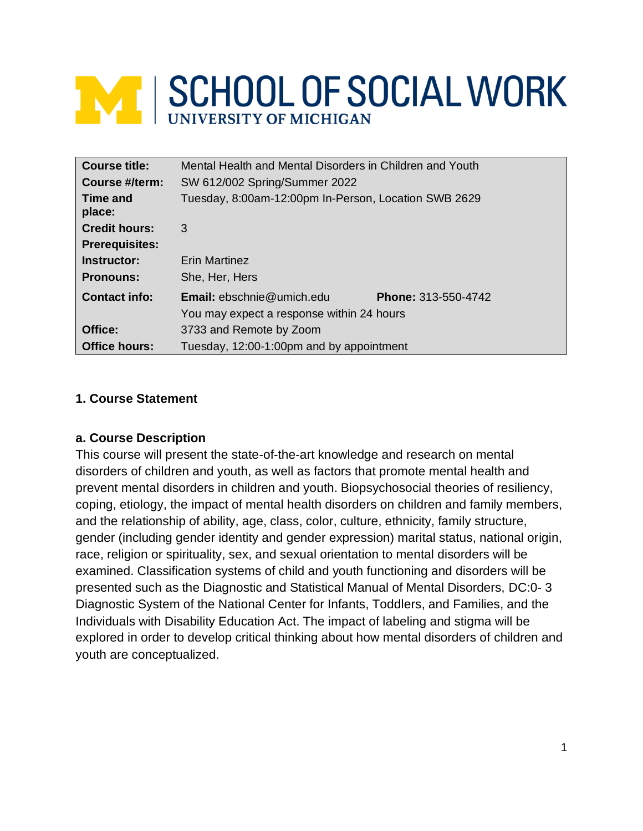# **ME SCHOOL OF SOCIAL WORK**

| <b>Course title:</b>  | Mental Health and Mental Disorders in Children and Youth |                            |  |
|-----------------------|----------------------------------------------------------|----------------------------|--|
| Course #/term:        | SW 612/002 Spring/Summer 2022                            |                            |  |
| Time and<br>place:    | Tuesday, 8:00am-12:00pm In-Person, Location SWB 2629     |                            |  |
| <b>Credit hours:</b>  | 3                                                        |                            |  |
| <b>Prerequisites:</b> |                                                          |                            |  |
| Instructor:           | <b>Erin Martinez</b>                                     |                            |  |
| <b>Pronouns:</b>      | She, Her, Hers                                           |                            |  |
| <b>Contact info:</b>  | <b>Email:</b> $ebschnie@$ umich.edu                      | <b>Phone: 313-550-4742</b> |  |
|                       | You may expect a response within 24 hours                |                            |  |
| Office:               | 3733 and Remote by Zoom                                  |                            |  |
| Office hours:         | Tuesday, 12:00-1:00pm and by appointment                 |                            |  |

## **1. Course Statement**

#### **a. Course Description**

This course will present the state-of-the-art knowledge and research on mental disorders of children and youth, as well as factors that promote mental health and prevent mental disorders in children and youth. Biopsychosocial theories of resiliency, coping, etiology, the impact of mental health disorders on children and family members, and the relationship of ability, age, class, color, culture, ethnicity, family structure, gender (including gender identity and gender expression) marital status, national origin, race, religion or spirituality, sex, and sexual orientation to mental disorders will be examined. Classification systems of child and youth functioning and disorders will be presented such as the Diagnostic and Statistical Manual of Mental Disorders, DC:0- 3 Diagnostic System of the National Center for Infants, Toddlers, and Families, and the Individuals with Disability Education Act. The impact of labeling and stigma will be explored in order to develop critical thinking about how mental disorders of children and youth are conceptualized.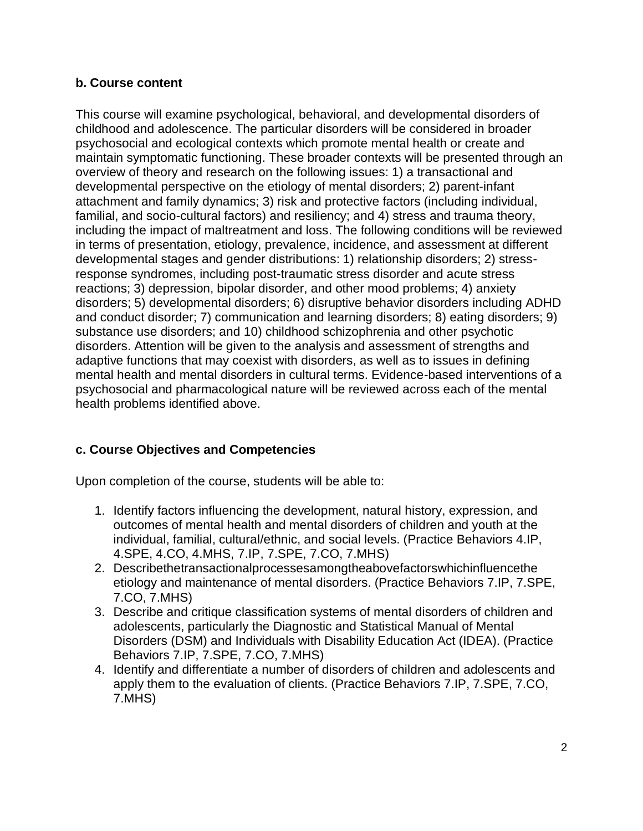#### **b. Course content**

This course will examine psychological, behavioral, and developmental disorders of childhood and adolescence. The particular disorders will be considered in broader psychosocial and ecological contexts which promote mental health or create and maintain symptomatic functioning. These broader contexts will be presented through an overview of theory and research on the following issues: 1) a transactional and developmental perspective on the etiology of mental disorders; 2) parent-infant attachment and family dynamics; 3) risk and protective factors (including individual, familial, and socio-cultural factors) and resiliency; and 4) stress and trauma theory, including the impact of maltreatment and loss. The following conditions will be reviewed in terms of presentation, etiology, prevalence, incidence, and assessment at different developmental stages and gender distributions: 1) relationship disorders; 2) stressresponse syndromes, including post-traumatic stress disorder and acute stress reactions; 3) depression, bipolar disorder, and other mood problems; 4) anxiety disorders; 5) developmental disorders; 6) disruptive behavior disorders including ADHD and conduct disorder; 7) communication and learning disorders; 8) eating disorders; 9) substance use disorders; and 10) childhood schizophrenia and other psychotic disorders. Attention will be given to the analysis and assessment of strengths and adaptive functions that may coexist with disorders, as well as to issues in defining mental health and mental disorders in cultural terms. Evidence-based interventions of a psychosocial and pharmacological nature will be reviewed across each of the mental health problems identified above.

## **c. Course Objectives and Competencies**

Upon completion of the course, students will be able to:

- 1. Identify factors influencing the development, natural history, expression, and outcomes of mental health and mental disorders of children and youth at the individual, familial, cultural/ethnic, and social levels. (Practice Behaviors 4.IP, 4.SPE, 4.CO, 4.MHS, 7.IP, 7.SPE, 7.CO, 7.MHS)
- 2. Describethetransactionalprocessesamongtheabovefactorswhichinfluencethe etiology and maintenance of mental disorders. (Practice Behaviors 7.IP, 7.SPE, 7.CO, 7.MHS)
- 3. Describe and critique classification systems of mental disorders of children and adolescents, particularly the Diagnostic and Statistical Manual of Mental Disorders (DSM) and Individuals with Disability Education Act (IDEA). (Practice Behaviors 7.IP, 7.SPE, 7.CO, 7.MHS)
- 4. Identify and differentiate a number of disorders of children and adolescents and apply them to the evaluation of clients. (Practice Behaviors 7.IP, 7.SPE, 7.CO, 7.MHS)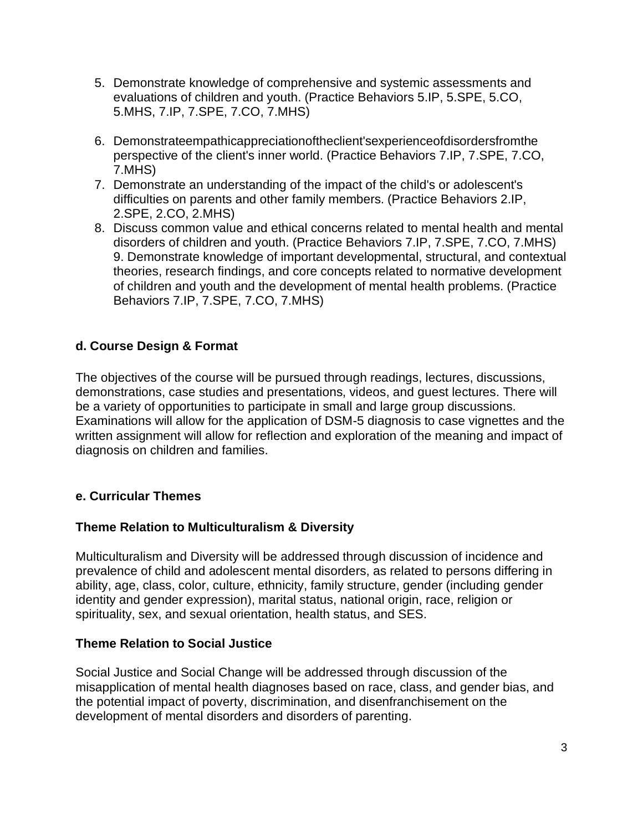- 5. Demonstrate knowledge of comprehensive and systemic assessments and evaluations of children and youth. (Practice Behaviors 5.IP, 5.SPE, 5.CO, 5.MHS, 7.IP, 7.SPE, 7.CO, 7.MHS)
- 6. Demonstrateempathicappreciationoftheclient'sexperienceofdisordersfromthe perspective of the client's inner world. (Practice Behaviors 7.IP, 7.SPE, 7.CO, 7.MHS)
- 7. Demonstrate an understanding of the impact of the child's or adolescent's difficulties on parents and other family members. (Practice Behaviors 2.IP, 2.SPE, 2.CO, 2.MHS)
- 8. Discuss common value and ethical concerns related to mental health and mental disorders of children and youth. (Practice Behaviors 7.IP, 7.SPE, 7.CO, 7.MHS) 9. Demonstrate knowledge of important developmental, structural, and contextual theories, research findings, and core concepts related to normative development of children and youth and the development of mental health problems. (Practice Behaviors 7.IP, 7.SPE, 7.CO, 7.MHS)

## **d. Course Design & Format**

The objectives of the course will be pursued through readings, lectures, discussions, demonstrations, case studies and presentations, videos, and guest lectures. There will be a variety of opportunities to participate in small and large group discussions. Examinations will allow for the application of DSM-5 diagnosis to case vignettes and the written assignment will allow for reflection and exploration of the meaning and impact of diagnosis on children and families.

## **e. Curricular Themes**

#### **Theme Relation to Multiculturalism & Diversity**

Multiculturalism and Diversity will be addressed through discussion of incidence and prevalence of child and adolescent mental disorders, as related to persons differing in ability, age, class, color, culture, ethnicity, family structure, gender (including gender identity and gender expression), marital status, national origin, race, religion or spirituality, sex, and sexual orientation, health status, and SES.

#### **Theme Relation to Social Justice**

Social Justice and Social Change will be addressed through discussion of the misapplication of mental health diagnoses based on race, class, and gender bias, and the potential impact of poverty, discrimination, and disenfranchisement on the development of mental disorders and disorders of parenting.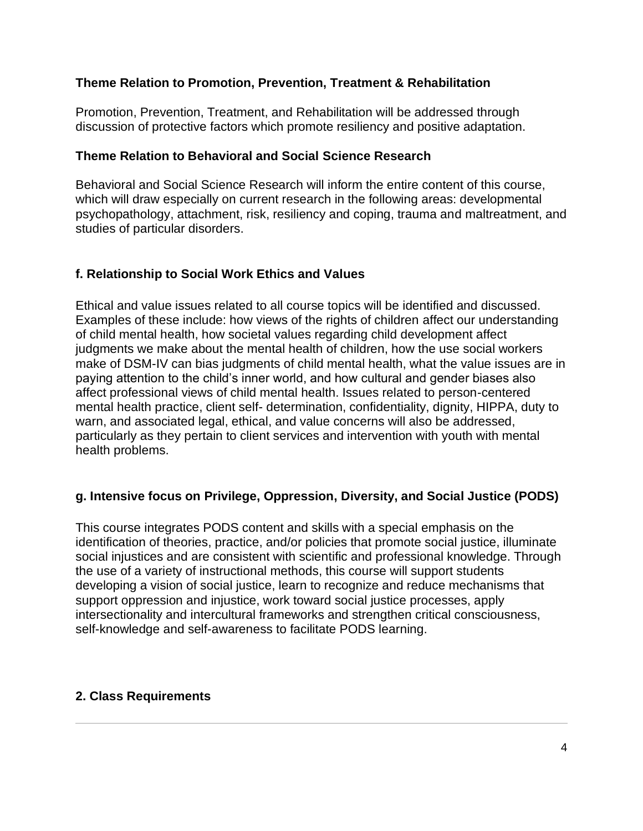#### **Theme Relation to Promotion, Prevention, Treatment & Rehabilitation**

Promotion, Prevention, Treatment, and Rehabilitation will be addressed through discussion of protective factors which promote resiliency and positive adaptation.

#### **Theme Relation to Behavioral and Social Science Research**

Behavioral and Social Science Research will inform the entire content of this course, which will draw especially on current research in the following areas: developmental psychopathology, attachment, risk, resiliency and coping, trauma and maltreatment, and studies of particular disorders.

## **f. Relationship to Social Work Ethics and Values**

Ethical and value issues related to all course topics will be identified and discussed. Examples of these include: how views of the rights of children affect our understanding of child mental health, how societal values regarding child development affect judgments we make about the mental health of children, how the use social workers make of DSM-IV can bias judgments of child mental health, what the value issues are in paying attention to the child's inner world, and how cultural and gender biases also affect professional views of child mental health. Issues related to person-centered mental health practice, client self- determination, confidentiality, dignity, HIPPA, duty to warn, and associated legal, ethical, and value concerns will also be addressed, particularly as they pertain to client services and intervention with youth with mental health problems.

## **g. Intensive focus on Privilege, Oppression, Diversity, and Social Justice (PODS)**

This course integrates PODS content and skills with a special emphasis on the identification of theories, practice, and/or policies that promote social justice, illuminate social injustices and are consistent with scientific and professional knowledge. Through the use of a variety of instructional methods, this course will support students developing a vision of social justice, learn to recognize and reduce mechanisms that support oppression and injustice, work toward social justice processes, apply intersectionality and intercultural frameworks and strengthen critical consciousness, self-knowledge and self-awareness to facilitate PODS learning.

#### **2. Class Requirements**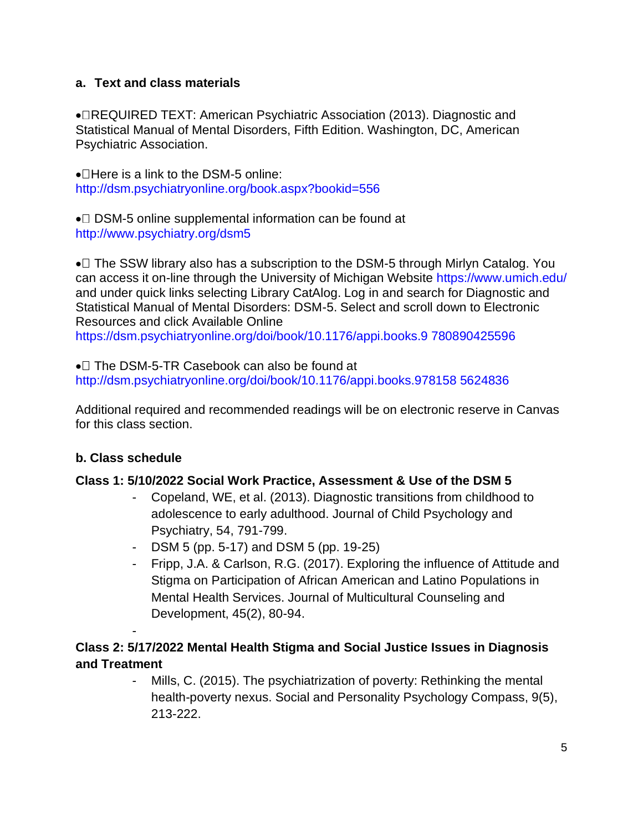## **a. Text and class materials**

• REQUIRED TEXT: American Psychiatric Association (2013). Diagnostic and Statistical Manual of Mental Disorders, Fifth Edition. Washington, DC, American Psychiatric Association.

 $\bullet$  Here is a link to the DSM-5 online: http://dsm.psychiatryonline.org/book.aspx?bookid=556

 $\bullet$  DSM-5 online supplemental information can be found at http://www.psychiatry.org/dsm5

 $\bullet$  The SSW library also has a subscription to the DSM-5 through Mirlyn Catalog. You can access it on-line through the University of Michigan Website https://www.umich.edu/ and under quick links selecting Library CatAlog. Log in and search for Diagnostic and Statistical Manual of Mental Disorders: DSM-5. Select and scroll down to Electronic Resources and click Available Online https://dsm.psychiatryonline.org/doi/book/10.1176/appi.books.9 780890425596

 $\bullet$  The DSM-5-TR Casebook can also be found at http://dsm.psychiatryonline.org/doi/book/10.1176/appi.books.978158 5624836

Additional required and recommended readings will be on electronic reserve in Canvas for this class section.

## **b. Class schedule**

-

#### **Class 1: 5/10/2022 Social Work Practice, Assessment & Use of the DSM 5**

- Copeland, WE, et al. (2013). Diagnostic transitions from childhood to adolescence to early adulthood. Journal of Child Psychology and Psychiatry, 54, 791-799.
- DSM 5 (pp. 5-17) and DSM 5 (pp. 19-25)
- Fripp, J.A. & Carlson, R.G. (2017). Exploring the influence of Attitude and Stigma on Participation of African American and Latino Populations in Mental Health Services. Journal of Multicultural Counseling and Development, 45(2), 80-94.

# **Class 2: 5/17/2022 Mental Health Stigma and Social Justice Issues in Diagnosis and Treatment**

- Mills, C. (2015). The psychiatrization of poverty: Rethinking the mental health-poverty nexus. Social and Personality Psychology Compass, 9(5), 213-222.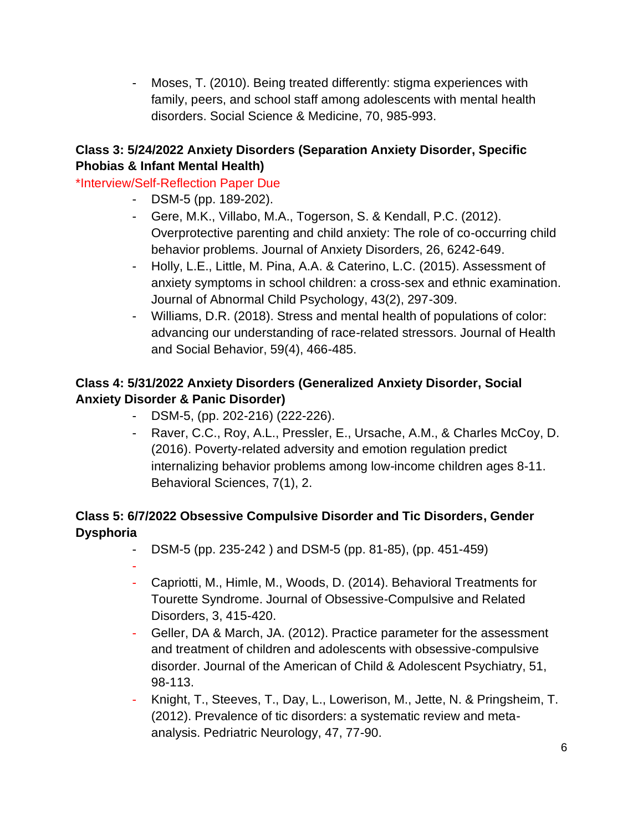- Moses, T. (2010). Being treated differently: stigma experiences with family, peers, and school staff among adolescents with mental health disorders. Social Science & Medicine, 70, 985-993.

# **Class 3: 5/24/2022 Anxiety Disorders (Separation Anxiety Disorder, Specific Phobias & Infant Mental Health)**

# \*Interview/Self-Reflection Paper Due

- DSM-5 (pp. 189-202).
- Gere, M.K., Villabo, M.A., Togerson, S. & Kendall, P.C. (2012). Overprotective parenting and child anxiety: The role of co-occurring child behavior problems. Journal of Anxiety Disorders, 26, 6242-649.
- Holly, L.E., Little, M. Pina, A.A. & Caterino, L.C. (2015). Assessment of anxiety symptoms in school children: a cross-sex and ethnic examination. Journal of Abnormal Child Psychology, 43(2), 297-309.
- Williams, D.R. (2018). Stress and mental health of populations of color: advancing our understanding of race-related stressors. Journal of Health and Social Behavior, 59(4), 466-485.

# **Class 4: 5/31/2022 Anxiety Disorders (Generalized Anxiety Disorder, Social Anxiety Disorder & Panic Disorder)**

- DSM-5, (pp. 202-216) (222-226).
- Raver, C.C., Roy, A.L., Pressler, E., Ursache, A.M., & Charles McCoy, D. (2016). Poverty-related adversity and emotion regulation predict internalizing behavior problems among low-income children ages 8-11. Behavioral Sciences, 7(1), 2.

# **Class 5: 6/7/2022 Obsessive Compulsive Disorder and Tic Disorders, Gender Dysphoria**

- DSM-5 (pp. 235-242 ) and DSM-5 (pp. 81-85), (pp. 451-459)
- -
- Capriotti, M., Himle, M., Woods, D. (2014). Behavioral Treatments for Tourette Syndrome. Journal of Obsessive-Compulsive and Related Disorders, 3, 415-420.
- Geller, DA & March, JA. (2012). Practice parameter for the assessment and treatment of children and adolescents with obsessive-compulsive disorder. Journal of the American of Child & Adolescent Psychiatry, 51, 98-113.
- Knight, T., Steeves, T., Day, L., Lowerison, M., Jette, N. & Pringsheim, T. (2012). Prevalence of tic disorders: a systematic review and metaanalysis. Pedriatric Neurology, 47, 77-90.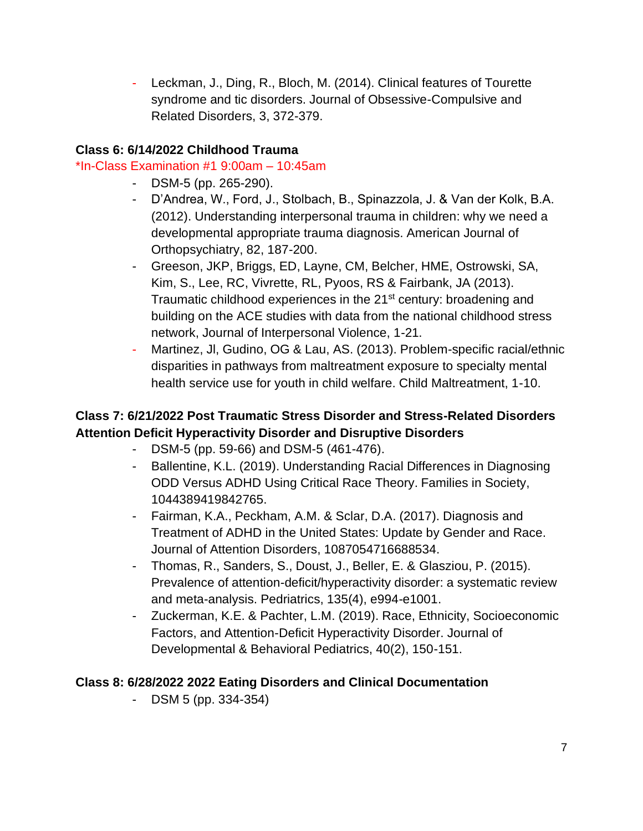- Leckman, J., Ding, R., Bloch, M. (2014). Clinical features of Tourette syndrome and tic disorders. Journal of Obsessive-Compulsive and Related Disorders, 3, 372-379.

# **Class 6: 6/14/2022 Childhood Trauma**

## \*In-Class Examination #1 9:00am – 10:45am

- DSM-5 (pp. 265-290).
- D'Andrea, W., Ford, J., Stolbach, B., Spinazzola, J. & Van der Kolk, B.A. (2012). Understanding interpersonal trauma in children: why we need a developmental appropriate trauma diagnosis. American Journal of Orthopsychiatry, 82, 187-200.
- Greeson, JKP, Briggs, ED, Layne, CM, Belcher, HME, Ostrowski, SA, Kim, S., Lee, RC, Vivrette, RL, Pyoos, RS & Fairbank, JA (2013). Traumatic childhood experiences in the 21<sup>st</sup> century: broadening and building on the ACE studies with data from the national childhood stress network, Journal of Interpersonal Violence, 1-21.
- Martinez, Jl, Gudino, OG & Lau, AS. (2013). Problem-specific racial/ethnic disparities in pathways from maltreatment exposure to specialty mental health service use for youth in child welfare. Child Maltreatment, 1-10.

# **Class 7: 6/21/2022 Post Traumatic Stress Disorder and Stress-Related Disorders Attention Deficit Hyperactivity Disorder and Disruptive Disorders**

- DSM-5 (pp. 59-66) and DSM-5 (461-476).
- Ballentine, K.L. (2019). Understanding Racial Differences in Diagnosing ODD Versus ADHD Using Critical Race Theory. Families in Society, 1044389419842765.
- Fairman, K.A., Peckham, A.M. & Sclar, D.A. (2017). Diagnosis and Treatment of ADHD in the United States: Update by Gender and Race. Journal of Attention Disorders, 1087054716688534.
- Thomas, R., Sanders, S., Doust, J., Beller, E. & Glasziou, P. (2015). Prevalence of attention-deficit/hyperactivity disorder: a systematic review and meta-analysis. Pedriatrics, 135(4), e994-e1001.
- Zuckerman, K.E. & Pachter, L.M. (2019). Race, Ethnicity, Socioeconomic Factors, and Attention-Deficit Hyperactivity Disorder. Journal of Developmental & Behavioral Pediatrics, 40(2), 150-151.

# **Class 8: 6/28/2022 2022 Eating Disorders and Clinical Documentation**

- DSM 5 (pp. 334-354)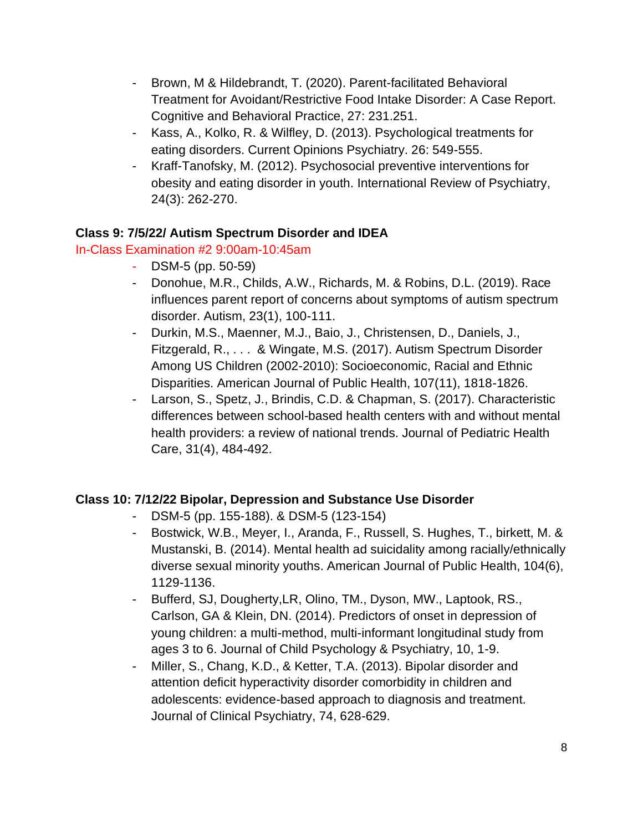- Brown, M & Hildebrandt, T. (2020). Parent-facilitated Behavioral Treatment for Avoidant/Restrictive Food Intake Disorder: A Case Report. Cognitive and Behavioral Practice, 27: 231.251.
- Kass, A., Kolko, R. & Wilfley, D. (2013). Psychological treatments for eating disorders. Current Opinions Psychiatry. 26: 549-555.
- Kraff-Tanofsky, M. (2012). Psychosocial preventive interventions for obesity and eating disorder in youth. International Review of Psychiatry, 24(3): 262-270.

## **Class 9: 7/5/22/ Autism Spectrum Disorder and IDEA**

## In-Class Examination #2 9:00am-10:45am

- DSM-5 (pp. 50-59)
- Donohue, M.R., Childs, A.W., Richards, M. & Robins, D.L. (2019). Race influences parent report of concerns about symptoms of autism spectrum disorder. Autism, 23(1), 100-111.
- Durkin, M.S., Maenner, M.J., Baio, J., Christensen, D., Daniels, J., Fitzgerald, R., . . . & Wingate, M.S. (2017). Autism Spectrum Disorder Among US Children (2002-2010): Socioeconomic, Racial and Ethnic Disparities. American Journal of Public Health, 107(11), 1818-1826.
- Larson, S., Spetz, J., Brindis, C.D. & Chapman, S. (2017). Characteristic differences between school-based health centers with and without mental health providers: a review of national trends. Journal of Pediatric Health Care, 31(4), 484-492.

# **Class 10: 7/12/22 Bipolar, Depression and Substance Use Disorder**

- DSM-5 (pp. 155-188). & DSM-5 (123-154)
- Bostwick, W.B., Meyer, I., Aranda, F., Russell, S. Hughes, T., birkett, M. & Mustanski, B. (2014). Mental health ad suicidality among racially/ethnically diverse sexual minority youths. American Journal of Public Health, 104(6), 1129-1136.
- Bufferd, SJ, Dougherty,LR, Olino, TM., Dyson, MW., Laptook, RS., Carlson, GA & Klein, DN. (2014). Predictors of onset in depression of young children: a multi-method, multi-informant longitudinal study from ages 3 to 6. Journal of Child Psychology & Psychiatry, 10, 1-9.
- Miller, S., Chang, K.D., & Ketter, T.A. (2013). Bipolar disorder and attention deficit hyperactivity disorder comorbidity in children and adolescents: evidence-based approach to diagnosis and treatment. Journal of Clinical Psychiatry, 74, 628-629.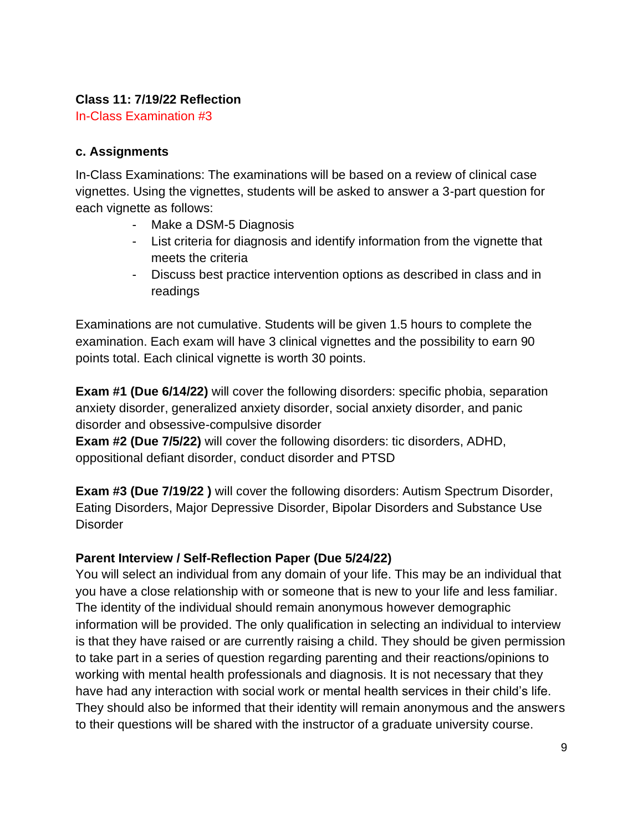## **Class 11: 7/19/22 Reflection**

In-Class Examination #3

## **c. Assignments**

In-Class Examinations: The examinations will be based on a review of clinical case vignettes. Using the vignettes, students will be asked to answer a 3-part question for each vignette as follows:

- Make a DSM-5 Diagnosis
- List criteria for diagnosis and identify information from the vignette that meets the criteria
- Discuss best practice intervention options as described in class and in readings

Examinations are not cumulative. Students will be given 1.5 hours to complete the examination. Each exam will have 3 clinical vignettes and the possibility to earn 90 points total. Each clinical vignette is worth 30 points.

**Exam #1 (Due 6/14/22)** will cover the following disorders: specific phobia, separation anxiety disorder, generalized anxiety disorder, social anxiety disorder, and panic disorder and obsessive-compulsive disorder

**Exam #2 (Due 7/5/22)** will cover the following disorders: tic disorders, ADHD, oppositional defiant disorder, conduct disorder and PTSD

**Exam #3 (Due 7/19/22 )** will cover the following disorders: Autism Spectrum Disorder, Eating Disorders, Major Depressive Disorder, Bipolar Disorders and Substance Use **Disorder** 

# **Parent Interview / Self-Reflection Paper (Due 5/24/22)**

You will select an individual from any domain of your life. This may be an individual that you have a close relationship with or someone that is new to your life and less familiar. The identity of the individual should remain anonymous however demographic information will be provided. The only qualification in selecting an individual to interview is that they have raised or are currently raising a child. They should be given permission to take part in a series of question regarding parenting and their reactions/opinions to working with mental health professionals and diagnosis. It is not necessary that they have had any interaction with social work or mental health services in their child's life. They should also be informed that their identity will remain anonymous and the answers to their questions will be shared with the instructor of a graduate university course.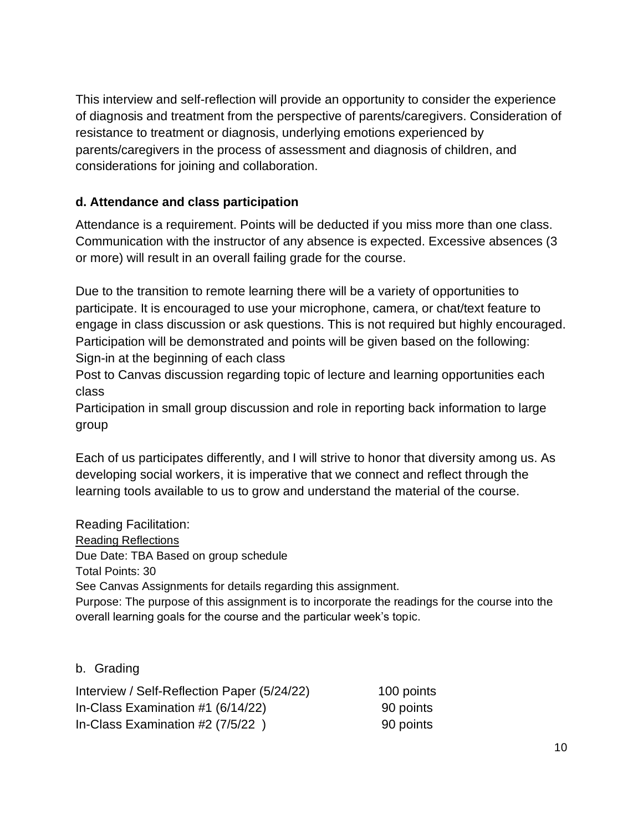This interview and self-reflection will provide an opportunity to consider the experience of diagnosis and treatment from the perspective of parents/caregivers. Consideration of resistance to treatment or diagnosis, underlying emotions experienced by parents/caregivers in the process of assessment and diagnosis of children, and considerations for joining and collaboration.

## **d. Attendance and class participation**

Attendance is a requirement. Points will be deducted if you miss more than one class. Communication with the instructor of any absence is expected. Excessive absences (3 or more) will result in an overall failing grade for the course.

Due to the transition to remote learning there will be a variety of opportunities to participate. It is encouraged to use your microphone, camera, or chat/text feature to engage in class discussion or ask questions. This is not required but highly encouraged. Participation will be demonstrated and points will be given based on the following: Sign-in at the beginning of each class

Post to Canvas discussion regarding topic of lecture and learning opportunities each class

Participation in small group discussion and role in reporting back information to large group

Each of us participates differently, and I will strive to honor that diversity among us. As developing social workers, it is imperative that we connect and reflect through the learning tools available to us to grow and understand the material of the course.

Reading Facilitation: Reading Reflections Due Date: TBA Based on group schedule Total Points: 30 See Canvas Assignments for details regarding this assignment. Purpose: The purpose of this assignment is to incorporate the readings for the course into the overall learning goals for the course and the particular week's topic.

b. Grading

| Interview / Self-Reflection Paper (5/24/22) | 100 points |
|---------------------------------------------|------------|
| In-Class Examination $#1$ (6/14/22)         | 90 points  |
| In-Class Examination #2 (7/5/22)            | 90 points  |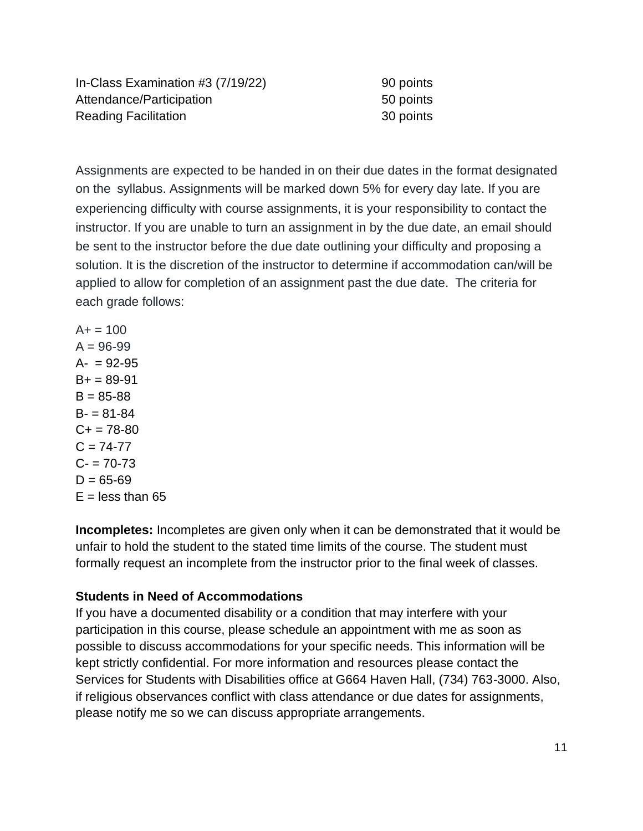In-Class Examination  $#3 (7/19/22)$  90 points Attendance/Participation 50 points Reading Facilitation **30 points** 

Assignments are expected to be handed in on their due dates in the format designated on the syllabus. Assignments will be marked down 5% for every day late. If you are experiencing difficulty with course assignments, it is your responsibility to contact the instructor. If you are unable to turn an assignment in by the due date, an email should be sent to the instructor before the due date outlining your difficulty and proposing a solution. It is the discretion of the instructor to determine if accommodation can/will be applied to allow for completion of an assignment past the due date. The criteria for each grade follows:

 $A+ = 100$  $A = 96 - 99$  $A- = 92-95$  $B_+ = 89 - 91$  $B = 85 - 88$  $B = 81 - 84$  $C_{+}$  = 78-80  $C = 74 - 77$  $C - 70-73$  $D = 65 - 69$  $E =$  less than 65

**Incompletes:** Incompletes are given only when it can be demonstrated that it would be unfair to hold the student to the stated time limits of the course. The student must formally request an incomplete from the instructor prior to the final week of classes.

## **Students in Need of Accommodations**

If you have a documented disability or a condition that may interfere with your participation in this course, please schedule an appointment with me as soon as possible to discuss accommodations for your specific needs. This information will be kept strictly confidential. For more information and resources please contact the Services for Students with Disabilities office at G664 Haven Hall, (734) 763-3000. Also, if religious observances conflict with class attendance or due dates for assignments, please notify me so we can discuss appropriate arrangements.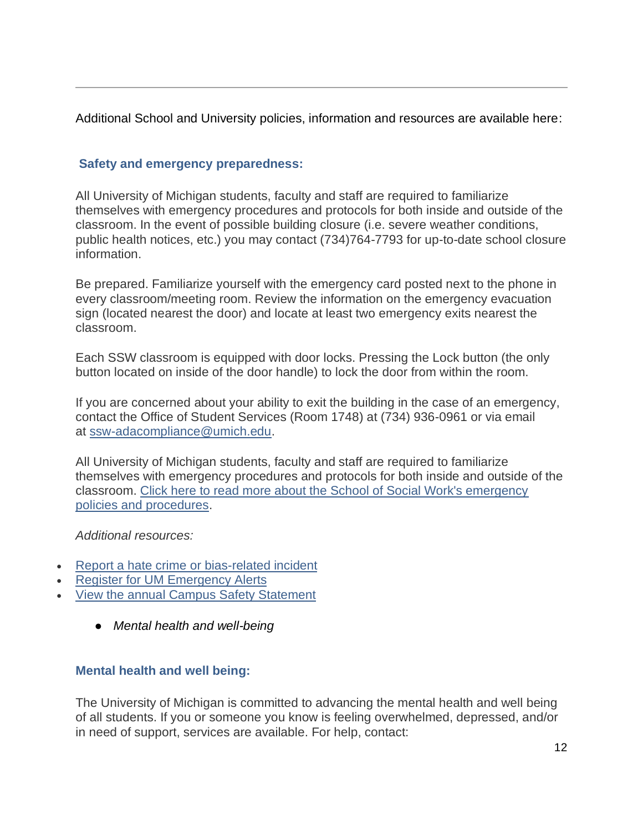Additional School and University policies, information and resources are available here:

## **Safety and emergency preparedness:**

All University of Michigan students, faculty and staff are required to familiarize themselves with emergency procedures and protocols for both inside and outside of the classroom. In the event of possible building closure (i.e. severe weather conditions, public health notices, etc.) you may contact (734)764-7793 for up-to-date school closure information.

Be prepared. Familiarize yourself with the emergency card posted next to the phone in every classroom/meeting room. Review the information on the emergency evacuation sign (located nearest the door) and locate at least two emergency exits nearest the classroom.

Each SSW classroom is equipped with door locks. Pressing the Lock button (the only button located on inside of the door handle) to lock the door from within the room.

If you are concerned about your ability to exit the building in the case of an emergency, contact the Office of Student Services (Room 1748) at (734) 936-0961 or via email at [ssw-adacompliance@umich.edu.](mailto:ssw-adacompliance@umich.edu)

All University of Michigan students, faculty and staff are required to familiarize themselves with emergency procedures and protocols for both inside and outside of the classroom. [Click here to read more about the School of Social Work's emergency](https://ssw.umich.edu/msw-student-guide/section/1.22.03/70/campus-safety-statement)  [policies and procedures.](https://ssw.umich.edu/msw-student-guide/section/1.22.03/70/campus-safety-statement)

*Additional resources:*

- Report a hate crime [or bias-related incident](https://expectrespect.umich.edu/topic/report-incident)
- **[Register for UM Emergency Alerts](http://www.dpss.umich.edu/emergency-management/alert/)**
- [View the annual Campus Safety Statement](http://www.dpss.umich.edu/)
	- *Mental health and well-being*

# **Mental health and well being:**

The University of Michigan is committed to advancing the mental health and well being of all students. If you or someone you know is feeling overwhelmed, depressed, and/or in need of support, services are available. For help, contact: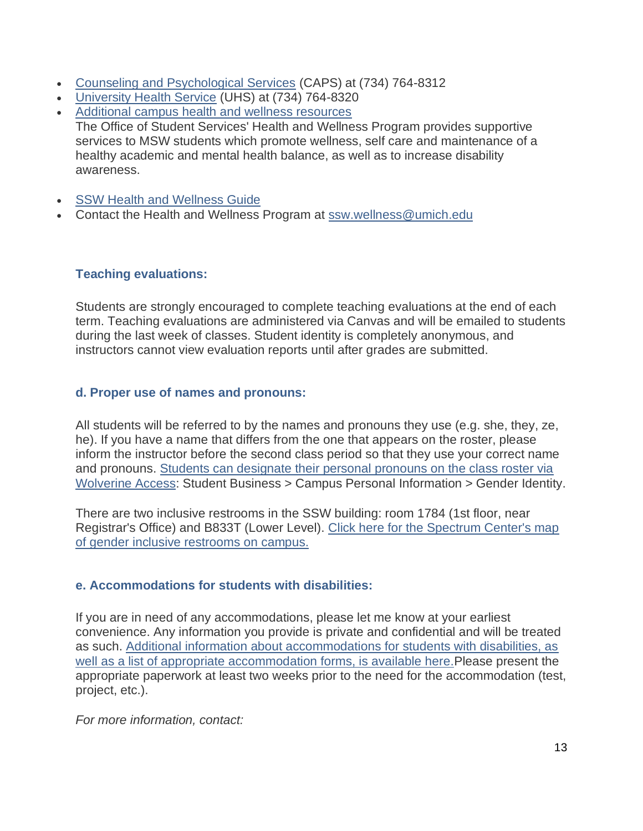- [Counseling and Psychological Services](https://caps.umich.edu/) (CAPS) at (734) 764-8312
- [University Health Service](http://uhs.umich.edu/mentalhealthsvcs) (UHS) at (734) 764-8320
- [Additional campus health and wellness resources](https://ssw.umich.edu/student-life/health-safety) The Office of Student Services' Health and Wellness Program provides supportive services to MSW students which promote wellness, self care and maintenance of a healthy academic and mental health balance, as well as to increase disability awareness.
- **[SSW Health and Wellness Guide](https://ssw.umich.edu/sites/default/files/documents/msw/health-and-wellness-guide.pdf)**
- Contact the Health and Wellness Program at [ssw.wellness@umich.edu](mailto:ssw.wellness@umich.edu)

#### **Teaching evaluations:**

Students are strongly encouraged to complete teaching evaluations at the end of each term. Teaching evaluations are administered via Canvas and will be emailed to students during the last week of classes. Student identity is completely anonymous, and instructors cannot view evaluation reports until after grades are submitted.

#### **d. Proper use of names and pronouns:**

All students will be referred to by the names and pronouns they use (e.g. she, they, ze, he). If you have a name that differs from the one that appears on the roster, please inform the instructor before the second class period so that they use your correct name and pronouns. [Students can designate their personal pronouns on the class roster via](http://wolverineaccess.umich.edu/)  [Wolverine Access:](http://wolverineaccess.umich.edu/) Student Business > Campus Personal Information > Gender Identity.

There are two inclusive restrooms in the SSW building: room 1784 (1st floor, near Registrar's Office) and B833T (Lower Level). [Click here for the Spectrum Center's map](https://spectrumcenter.umich.edu/article/gender-inclusive-restrooms)  [of gender inclusive restrooms on campus.](https://spectrumcenter.umich.edu/article/gender-inclusive-restrooms)

## **e. Accommodations for students with disabilities:**

If you are in need of any accommodations, please let me know at your earliest convenience. Any information you provide is private and confidential and will be treated as such. [Additional information about accommodations for students with disabilities, as](https://ssd.umich.edu/documentation)  [well as a list of appropriate accommodation forms, is available here.P](https://ssd.umich.edu/documentation)lease present the appropriate paperwork at least two weeks prior to the need for the accommodation (test, project, etc.).

*For more information, contact:*